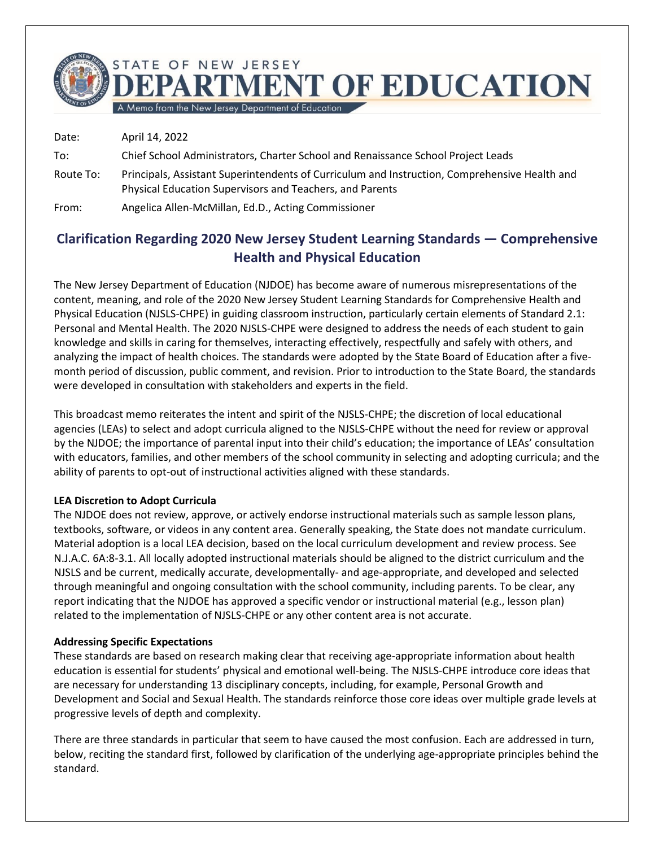TATE OF NEW JERSEY **RTMENT OF EDUCATION** 

A Memo from the New Jersey Department of Education

Date: April 14, 2022 To: Chief School Administrators, Charter School and Renaissance School Project Leads Route To: Principals, Assistant Superintendents of Curriculum and Instruction, Comprehensive Health and Physical Education Supervisors and Teachers, and Parents From: Angelica Allen-McMillan, Ed.D., Acting Commissioner

# **Clarification Regarding 2020 New Jersey Student Learning Standards — Comprehensive Health and Physical Education**

The New Jersey Department of Education (NJDOE) has become aware of numerous misrepresentations of the content, meaning, and role of the 2020 New Jersey Student Learning Standards for Comprehensive Health and Physical Education (NJSLS-CHPE) in guiding classroom instruction, particularly certain elements of Standard 2.1: Personal and Mental Health. The 2020 NJSLS-CHPE were designed to address the needs of each student to gain knowledge and skills in caring for themselves, interacting effectively, respectfully and safely with others, and analyzing the impact of health choices. The standards were adopted by the State Board of Education after a fivemonth period of discussion, public comment, and revision. Prior to introduction to the State Board, the standards were developed in consultation with stakeholders and experts in the field.

This broadcast memo reiterates the intent and spirit of the NJSLS-CHPE; the discretion of local educational agencies (LEAs) to select and adopt curricula aligned to the NJSLS-CHPE without the need for review or approval by the NJDOE; the importance of parental input into their child's education; the importance of LEAs' consultation with educators, families, and other members of the school community in selecting and adopting curricula; and the ability of parents to opt-out of instructional activities aligned with these standards.

# **LEA Discretion to Adopt Curricula**

The NJDOE does not review, approve, or actively endorse instructional materials such as sample lesson plans, textbooks, software, or videos in any content area. Generally speaking, the State does not mandate curriculum. Material adoption is a local LEA decision, based on the local curriculum development and review process. See N.J.A.C. 6A:8-3.1. All locally adopted instructional materials should be aligned to the district curriculum and the NJSLS and be current, medically accurate, developmentally- and age-appropriate, and developed and selected through meaningful and ongoing consultation with the school community, including parents. To be clear, any report indicating that the NJDOE has approved a specific vendor or instructional material (e.g., lesson plan) related to the implementation of NJSLS-CHPE or any other content area is not accurate.

#### **Addressing Specific Expectations**

These standards are based on research making clear that receiving age-appropriate information about health education is essential for students' physical and emotional well-being. The NJSLS-CHPE introduce core ideas that are necessary for understanding 13 disciplinary concepts, including, for example, Personal Growth and Development and Social and Sexual Health. The standards reinforce those core ideas over multiple grade levels at progressive levels of depth and complexity.

There are three standards in particular that seem to have caused the most confusion. Each are addressed in turn, below, reciting the standard first, followed by clarification of the underlying age-appropriate principles behind the standard.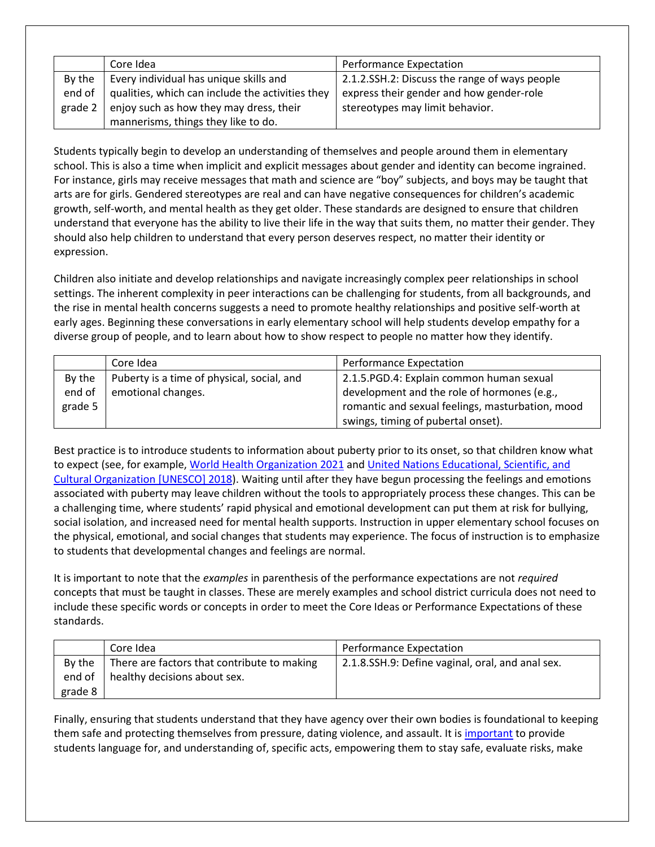|         | Core Idea                                        | <b>Performance Expectation</b>                |
|---------|--------------------------------------------------|-----------------------------------------------|
| By the  | Every individual has unique skills and           | 2.1.2.SSH.2: Discuss the range of ways people |
| end of  | qualities, which can include the activities they | express their gender and how gender-role      |
| grade 2 | enjoy such as how they may dress, their          | stereotypes may limit behavior.               |
|         | mannerisms, things they like to do.              |                                               |

Students typically begin to develop an understanding of themselves and people around them in elementary school. This is also a time when implicit and explicit messages about gender and identity can become ingrained. For instance, girls may receive messages that math and science are "boy" subjects, and boys may be taught that arts are for girls. Gendered stereotypes are real and can have negative consequences for children's academic growth, self-worth, and mental health as they get older. These standards are designed to ensure that children understand that everyone has the ability to live their life in the way that suits them, no matter their gender. They should also help children to understand that every person deserves respect, no matter their identity or expression.

Children also initiate and develop relationships and navigate increasingly complex peer relationships in school settings. The inherent complexity in peer interactions can be challenging for students, from all backgrounds, and the rise in mental health concerns suggests a need to promote healthy relationships and positive self-worth at early ages. Beginning these conversations in early elementary school will help students develop empathy for a diverse group of people, and to learn about how to show respect to people no matter how they identify.

|         | Core Idea                                  | Performance Expectation                          |
|---------|--------------------------------------------|--------------------------------------------------|
| By the  | Puberty is a time of physical, social, and | 2.1.5. PGD.4: Explain common human sexual        |
| end of  | emotional changes.                         | development and the role of hormones (e.g.,      |
| grade 5 |                                            | romantic and sexual feelings, masturbation, mood |
|         |                                            | swings, timing of pubertal onset).               |

Best practice is to introduce students to information about puberty prior to its onset, so that children know what to expect (see, for example, [World Health Organization 2021](https://www.who.int/news-room/fact-sheets/detail/adolescent-mental-health) an[d United Nations Educational, Scientific, and](https://unesdoc.unesco.org/ark:/48223/pf0000260770)  [Cultural Organization \[UNESCO\] 2018\)](https://unesdoc.unesco.org/ark:/48223/pf0000260770). Waiting until after they have begun processing the feelings and emotions associated with puberty may leave children without the tools to appropriately process these changes. This can be a challenging time, where students' rapid physical and emotional development can put them at risk for bullying, social isolation, and increased need for mental health supports. Instruction in upper elementary school focuses on the physical, emotional, and social changes that students may experience. The focus of instruction is to emphasize to students that developmental changes and feelings are normal.

It is important to note that the *examples* in parenthesis of the performance expectations are not *required* concepts that must be taught in classes. These are merely examples and school district curricula does not need to include these specific words or concepts in order to meet the Core Ideas or Performance Expectations of these standards.

|         | Core Idea                                   | <b>Performance Expectation</b>                   |
|---------|---------------------------------------------|--------------------------------------------------|
| By the  | There are factors that contribute to making | 2.1.8.SSH.9: Define vaginal, oral, and anal sex. |
| end of  | healthy decisions about sex.                |                                                  |
| grade 8 |                                             |                                                  |

Finally, ensuring that students understand that they have agency over their own bodies is foundational to keeping them safe and protecting themselves from pressure, dating violence, and assault. It is [important](https://publications.aap.org/pediatrics/article/138/2/e20161348/52508/Sexuality-Education-for-Children-and-Adolescents) to provide students language for, and understanding of, specific acts, empowering them to stay safe, evaluate risks, make